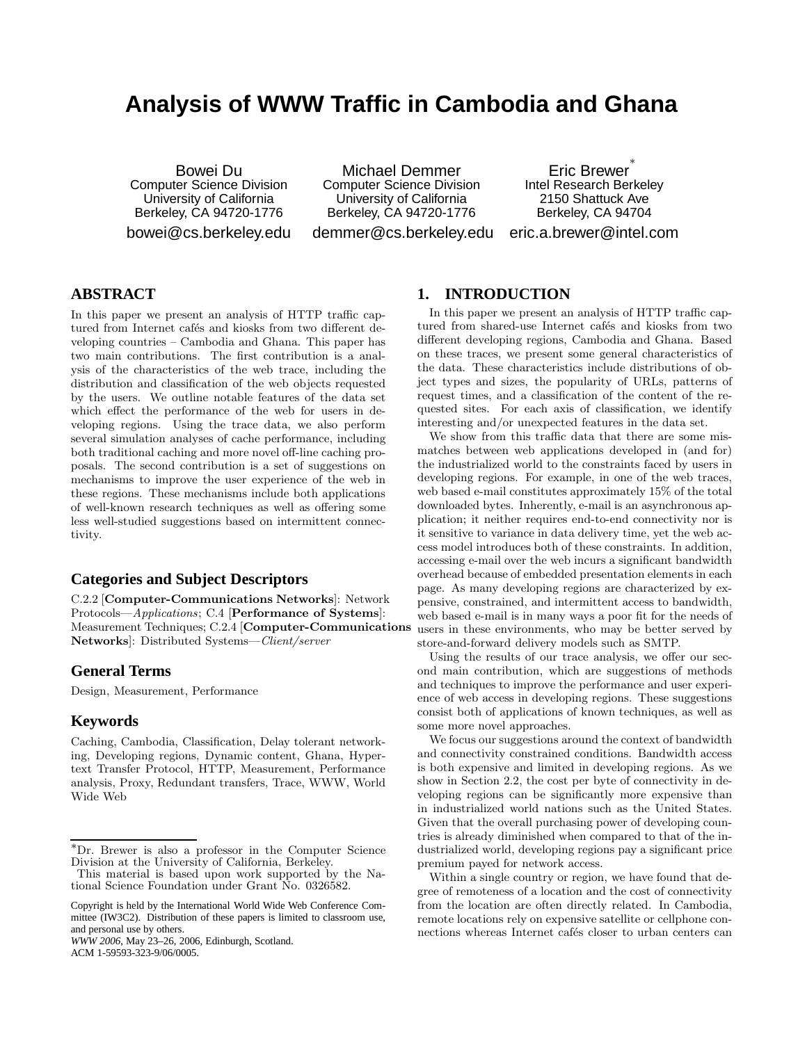# **Analysis of WWW Traffic in Cambodia and Ghana**

Bowei Du Computer Science Division University of California Berkeley, CA 94720-1776 bowei@cs.berkeley.edu

Michael Demmer Computer Science Division University of California Berkeley, CA 94720-1776 demmer@cs.berkeley.edu

Eric Brewer ∗ Intel Research Berkeley 2150 Shattuck Ave Berkeley, CA 94704

eric.a.brewer@intel.com

# **ABSTRACT**

In this paper we present an analysis of HTTP traffic captured from Internet cafés and kiosks from two different developing countries – Cambodia and Ghana. This paper has two main contributions. The first contribution is a analysis of the characteristics of the web trace, including the distribution and classification of the web objects requested by the users. We outline notable features of the data set which effect the performance of the web for users in developing regions. Using the trace data, we also perform several simulation analyses of cache performance, including both traditional caching and more novel off-line caching proposals. The second contribution is a set of suggestions on mechanisms to improve the user experience of the web in these regions. These mechanisms include both applications of well-known research techniques as well as offering some less well-studied suggestions based on intermittent connectivity.

# **Categories and Subject Descriptors**

C.2.2 [Computer-Communications Networks]: Network Protocols—Applications; C.4 [Performance of Systems]: Measurement Techniques; C.2.4 [Computer-Communications Networks]: Distributed Systems—Client/server

### **General Terms**

Design, Measurement, Performance

### **Keywords**

Caching, Cambodia, Classification, Delay tolerant networking, Developing regions, Dynamic content, Ghana, Hypertext Transfer Protocol, HTTP, Measurement, Performance analysis, Proxy, Redundant transfers, Trace, WWW, World Wide Web

*WWW 2006*, May 23–26, 2006, Edinburgh, Scotland.

ACM 1-59593-323-9/06/0005.

# **1. INTRODUCTION**

In this paper we present an analysis of HTTP traffic captured from shared-use Internet cafés and kiosks from two different developing regions, Cambodia and Ghana. Based on these traces, we present some general characteristics of the data. These characteristics include distributions of object types and sizes, the popularity of URLs, patterns of request times, and a classification of the content of the requested sites. For each axis of classification, we identify interesting and/or unexpected features in the data set.

We show from this traffic data that there are some mismatches between web applications developed in (and for) the industrialized world to the constraints faced by users in developing regions. For example, in one of the web traces, web based e-mail constitutes approximately 15% of the total downloaded bytes. Inherently, e-mail is an asynchronous application; it neither requires end-to-end connectivity nor is it sensitive to variance in data delivery time, yet the web access model introduces both of these constraints. In addition, accessing e-mail over the web incurs a significant bandwidth overhead because of embedded presentation elements in each page. As many developing regions are characterized by expensive, constrained, and intermittent access to bandwidth, web based e-mail is in many ways a poor fit for the needs of users in these environments, who may be better served by store-and-forward delivery models such as SMTP.

Using the results of our trace analysis, we offer our second main contribution, which are suggestions of methods and techniques to improve the performance and user experience of web access in developing regions. These suggestions consist both of applications of known techniques, as well as some more novel approaches.

We focus our suggestions around the context of bandwidth and connectivity constrained conditions. Bandwidth access is both expensive and limited in developing regions. As we show in Section 2.2, the cost per byte of connectivity in developing regions can be significantly more expensive than in industrialized world nations such as the United States. Given that the overall purchasing power of developing countries is already diminished when compared to that of the industrialized world, developing regions pay a significant price premium payed for network access.

Within a single country or region, we have found that degree of remoteness of a location and the cost of connectivity from the location are often directly related. In Cambodia, remote locations rely on expensive satellite or cellphone connections whereas Internet cafés closer to urban centers can

<sup>∗</sup>Dr. Brewer is also <sup>a</sup> professor in the Computer Science Division at the University of California, Berkeley.

This material is based upon work supported by the National Science Foundation under Grant No. 0326582.

Copyright is held by the International World Wide Web Conference Committee (IW3C2). Distribution of these papers is limited to classroom use, and personal use by others.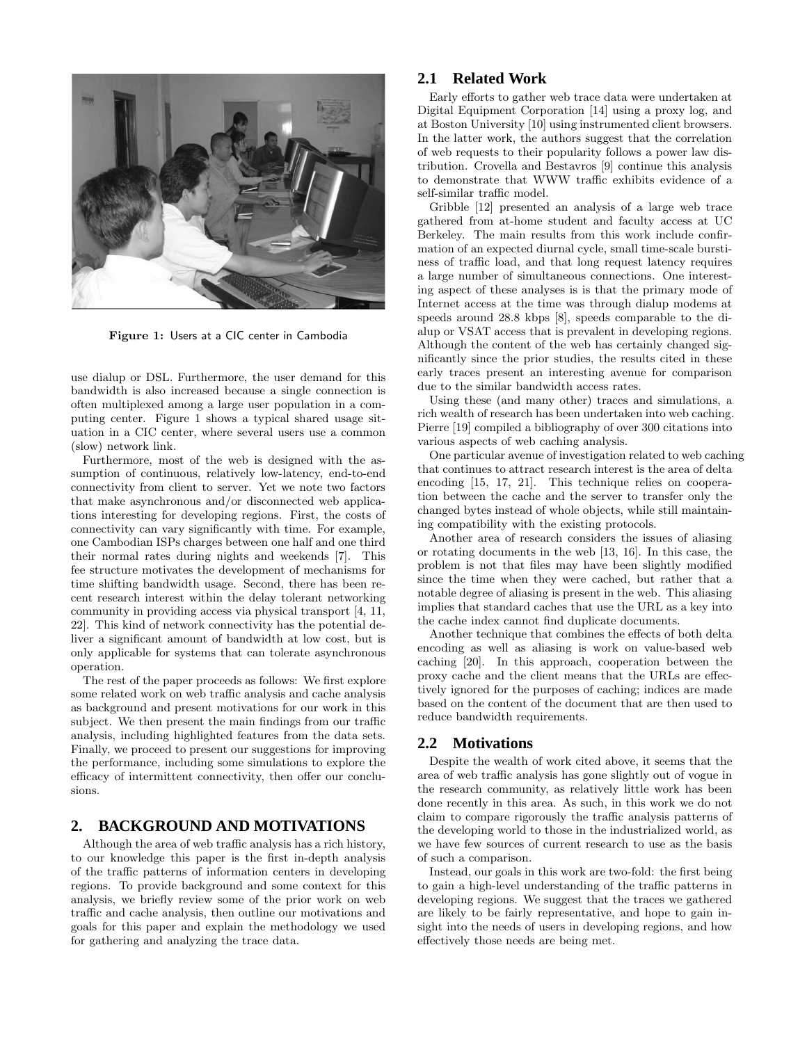

Figure 1: Users at a CIC center in Cambodia

use dialup or DSL. Furthermore, the user demand for this bandwidth is also increased because a single connection is often multiplexed among a large user population in a computing center. Figure 1 shows a typical shared usage situation in a CIC center, where several users use a common (slow) network link.

Furthermore, most of the web is designed with the assumption of continuous, relatively low-latency, end-to-end connectivity from client to server. Yet we note two factors that make asynchronous and/or disconnected web applications interesting for developing regions. First, the costs of connectivity can vary significantly with time. For example, one Cambodian ISPs charges between one half and one third their normal rates during nights and weekends [7]. This fee structure motivates the development of mechanisms for time shifting bandwidth usage. Second, there has been recent research interest within the delay tolerant networking community in providing access via physical transport [4, 11, 22]. This kind of network connectivity has the potential deliver a significant amount of bandwidth at low cost, but is only applicable for systems that can tolerate asynchronous operation.

The rest of the paper proceeds as follows: We first explore some related work on web traffic analysis and cache analysis as background and present motivations for our work in this subject. We then present the main findings from our traffic analysis, including highlighted features from the data sets. Finally, we proceed to present our suggestions for improving the performance, including some simulations to explore the efficacy of intermittent connectivity, then offer our conclusions.

# **2. BACKGROUND AND MOTIVATIONS**

Although the area of web traffic analysis has a rich history, to our knowledge this paper is the first in-depth analysis of the traffic patterns of information centers in developing regions. To provide background and some context for this analysis, we briefly review some of the prior work on web traffic and cache analysis, then outline our motivations and goals for this paper and explain the methodology we used for gathering and analyzing the trace data.

# **2.1 Related Work**

Early efforts to gather web trace data were undertaken at Digital Equipment Corporation [14] using a proxy log, and at Boston University [10] using instrumented client browsers. In the latter work, the authors suggest that the correlation of web requests to their popularity follows a power law distribution. Crovella and Bestavros [9] continue this analysis to demonstrate that WWW traffic exhibits evidence of a self-similar traffic model.

Gribble [12] presented an analysis of a large web trace gathered from at-home student and faculty access at UC Berkeley. The main results from this work include confirmation of an expected diurnal cycle, small time-scale burstiness of traffic load, and that long request latency requires a large number of simultaneous connections. One interesting aspect of these analyses is is that the primary mode of Internet access at the time was through dialup modems at speeds around 28.8 kbps [8], speeds comparable to the dialup or VSAT access that is prevalent in developing regions. Although the content of the web has certainly changed significantly since the prior studies, the results cited in these early traces present an interesting avenue for comparison due to the similar bandwidth access rates.

Using these (and many other) traces and simulations, a rich wealth of research has been undertaken into web caching. Pierre [19] compiled a bibliography of over 300 citations into various aspects of web caching analysis.

One particular avenue of investigation related to web caching that continues to attract research interest is the area of delta encoding [15, 17, 21]. This technique relies on cooperation between the cache and the server to transfer only the changed bytes instead of whole objects, while still maintaining compatibility with the existing protocols.

Another area of research considers the issues of aliasing or rotating documents in the web [13, 16]. In this case, the problem is not that files may have been slightly modified since the time when they were cached, but rather that a notable degree of aliasing is present in the web. This aliasing implies that standard caches that use the URL as a key into the cache index cannot find duplicate documents.

Another technique that combines the effects of both delta encoding as well as aliasing is work on value-based web caching [20]. In this approach, cooperation between the proxy cache and the client means that the URLs are effectively ignored for the purposes of caching; indices are made based on the content of the document that are then used to reduce bandwidth requirements.

# **2.2 Motivations**

Despite the wealth of work cited above, it seems that the area of web traffic analysis has gone slightly out of vogue in the research community, as relatively little work has been done recently in this area. As such, in this work we do not claim to compare rigorously the traffic analysis patterns of the developing world to those in the industrialized world, as we have few sources of current research to use as the basis of such a comparison.

Instead, our goals in this work are two-fold: the first being to gain a high-level understanding of the traffic patterns in developing regions. We suggest that the traces we gathered are likely to be fairly representative, and hope to gain insight into the needs of users in developing regions, and how effectively those needs are being met.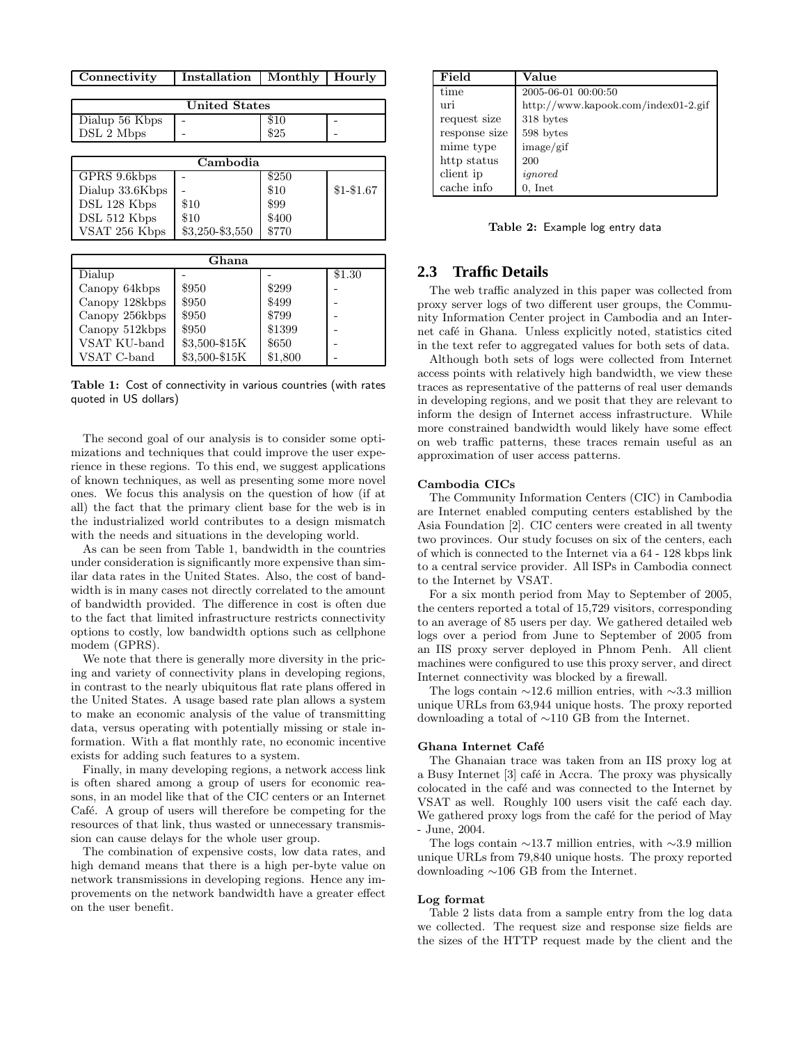| Connectivity    | Installation    | Monthly | Hourly     |  |
|-----------------|-----------------|---------|------------|--|
|                 |                 |         |            |  |
| United States   |                 |         |            |  |
| Dialup 56 Kbps  |                 | $\$10$  |            |  |
| DSL 2 Mbps      |                 | \$25    |            |  |
|                 |                 |         |            |  |
| Cambodia        |                 |         |            |  |
| GPRS 9.6kbps    |                 | \$250   |            |  |
| Dialup 33.6Kbps |                 | \$10    | $$1-$1.67$ |  |
| DSL 128 Kbps    | \$10            | \$99    |            |  |
| DSL 512 Kbps    | $\$10$          | \$400   |            |  |
| VSAT 256 Kbps   | \$3,250-\$3,550 | \$770   |            |  |
|                 |                 |         |            |  |
| Ghana           |                 |         |            |  |
| Dialup          |                 |         | \$1.30     |  |
| Canopy 64kbps   | \$950           | \$299   |            |  |
| Canopy 128kbps  | \$950           | \$499   |            |  |
| Canopy 256kbps  | \$950           | \$799   |            |  |
| Canopy 512kbps  | \$950           | \$1399  |            |  |
| VSAT KU-band    | \$3,500-\$15K   | \$650   |            |  |
| VSAT C-band     | \$3,500-\$15K   | \$1,800 |            |  |

Table 1: Cost of connectivity in various countries (with rates quoted in US dollars)

The second goal of our analysis is to consider some optimizations and techniques that could improve the user experience in these regions. To this end, we suggest applications of known techniques, as well as presenting some more novel ones. We focus this analysis on the question of how (if at all) the fact that the primary client base for the web is in the industrialized world contributes to a design mismatch with the needs and situations in the developing world.

As can be seen from Table 1, bandwidth in the countries under consideration is significantly more expensive than similar data rates in the United States. Also, the cost of bandwidth is in many cases not directly correlated to the amount of bandwidth provided. The difference in cost is often due to the fact that limited infrastructure restricts connectivity options to costly, low bandwidth options such as cellphone modem (GPRS).

We note that there is generally more diversity in the pricing and variety of connectivity plans in developing regions, in contrast to the nearly ubiquitous flat rate plans offered in the United States. A usage based rate plan allows a system to make an economic analysis of the value of transmitting data, versus operating with potentially missing or stale information. With a flat monthly rate, no economic incentive exists for adding such features to a system.

Finally, in many developing regions, a network access link is often shared among a group of users for economic reasons, in an model like that of the CIC centers or an Internet Café. A group of users will therefore be competing for the resources of that link, thus wasted or unnecessary transmission can cause delays for the whole user group.

The combination of expensive costs, low data rates, and high demand means that there is a high per-byte value on network transmissions in developing regions. Hence any improvements on the network bandwidth have a greater effect on the user benefit.

| Field         | Value                               |
|---------------|-------------------------------------|
| time          | 2005-06-01 00:00:50                 |
| uri           | http://www.kapook.com/index01-2.gif |
| request size  | 318 bytes                           |
| response size | 598 bytes                           |
| mime type     | image/gif                           |
| http status   | 200                                 |
| client ip     | ignored                             |
| cache info    | $0.$ Inet                           |

Table 2: Example log entry data

### **2.3 Traffic Details**

The web traffic analyzed in this paper was collected from proxy server logs of two different user groups, the Community Information Center project in Cambodia and an Internet café in Ghana. Unless explicitly noted, statistics cited in the text refer to aggregated values for both sets of data.

Although both sets of logs were collected from Internet access points with relatively high bandwidth, we view these traces as representative of the patterns of real user demands in developing regions, and we posit that they are relevant to inform the design of Internet access infrastructure. While more constrained bandwidth would likely have some effect on web traffic patterns, these traces remain useful as an approximation of user access patterns.

### Cambodia CICs

The Community Information Centers (CIC) in Cambodia are Internet enabled computing centers established by the Asia Foundation [2]. CIC centers were created in all twenty two provinces. Our study focuses on six of the centers, each of which is connected to the Internet via a 64 - 128 kbps link to a central service provider. All ISPs in Cambodia connect to the Internet by VSAT.

For a six month period from May to September of 2005, the centers reported a total of 15,729 visitors, corresponding to an average of 85 users per day. We gathered detailed web logs over a period from June to September of 2005 from an IIS proxy server deployed in Phnom Penh. All client machines were configured to use this proxy server, and direct Internet connectivity was blocked by a firewall.

The logs contain ∼12.6 million entries, with ∼3.3 million unique URLs from 63,944 unique hosts. The proxy reported downloading a total of ∼110 GB from the Internet.

#### Ghana Internet Café

The Ghanaian trace was taken from an IIS proxy log at a Busy Internet [3] café in Accra. The proxy was physically colocated in the café and was connected to the Internet by VSAT as well. Roughly 100 users visit the café each day. We gathered proxy logs from the café for the period of May - June, 2004.

The logs contain ∼13.7 million entries, with ∼3.9 million unique URLs from 79,840 unique hosts. The proxy reported downloading ∼106 GB from the Internet.

#### Log format

Table 2 lists data from a sample entry from the log data we collected. The request size and response size fields are the sizes of the HTTP request made by the client and the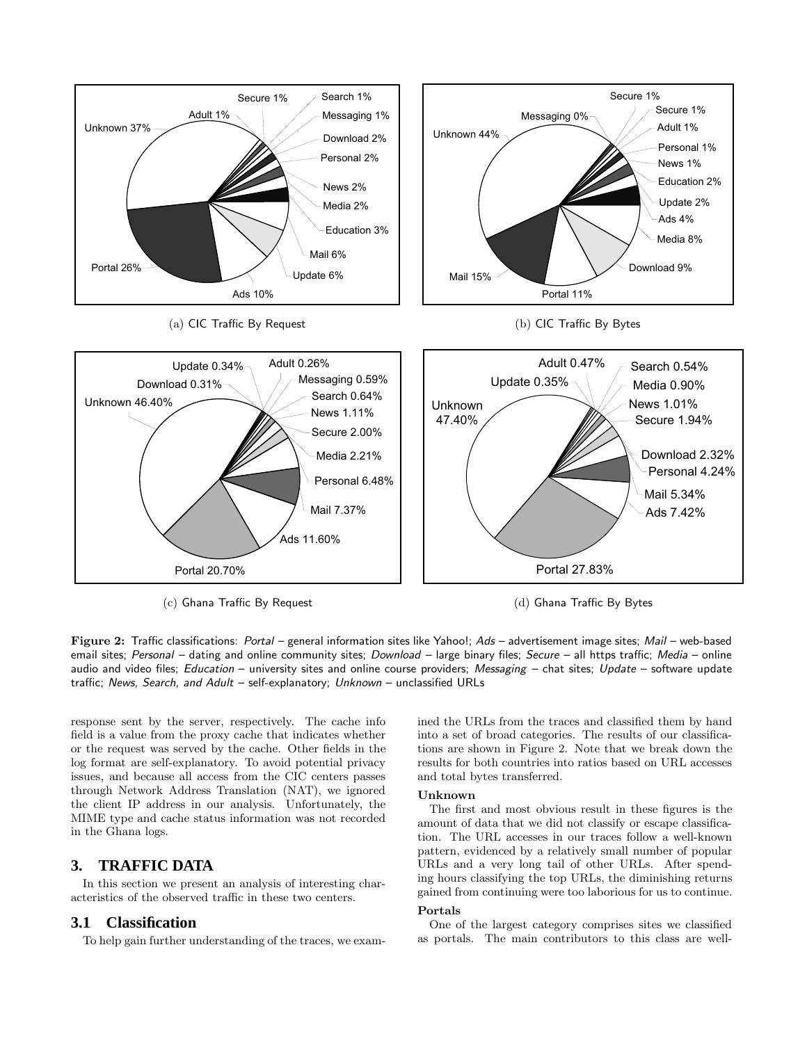

(c) Ghana Traffic By Request

(d) Ghana Traffic By Bytes

Figure 2: Traffic classifications: Portal – general information sites like Yahoo!; Ads – advertisement image sites; Mail – web-based email sites; Personal - dating and online community sites; Download - large binary files; Secure - all https traffic; Media - online audio and video files; Education – university sites and online course providers; Messaging – chat sites; Update – software update traffic; News, Search, and Adult - self-explanatory; Unknown - unclassified URLs

response sent by the server, respectively. The cache info field is a value from the proxy cache that indicates whether or the request was served by the cache. Other fields in the log format are self-explanatory. To avoid potential privacy issues, and because all access from the CIC centers passes through Network Address Translation (NAT), we ignored the client IP address in our analysis. Unfortunately, the MIME type and cache status information was not recorded in the Ghana logs.

### **3. TRAFFIC DATA**

In this section we present an analysis of interesting characteristics of the observed traffic in these two centers.

# **3.1 Classification**

To help gain further understanding of the traces, we exam-

ined the URLs from the traces and classified them by hand into a set of broad categories. The results of our classifications are shown in Figure 2. Note that we break down the results for both countries into ratios based on URL accesses and total bytes transferred.

#### Unknown

The first and most obvious result in these figures is the amount of data that we did not classify or escape classification. The URL accesses in our traces follow a well-known pattern, evidenced by a relatively small number of popular URLs and a very long tail of other URLs. After spending hours classifying the top URLs, the diminishing returns gained from continuing were too laborious for us to continue.

### Portals

One of the largest category comprises sites we classified as portals. The main contributors to this class are well-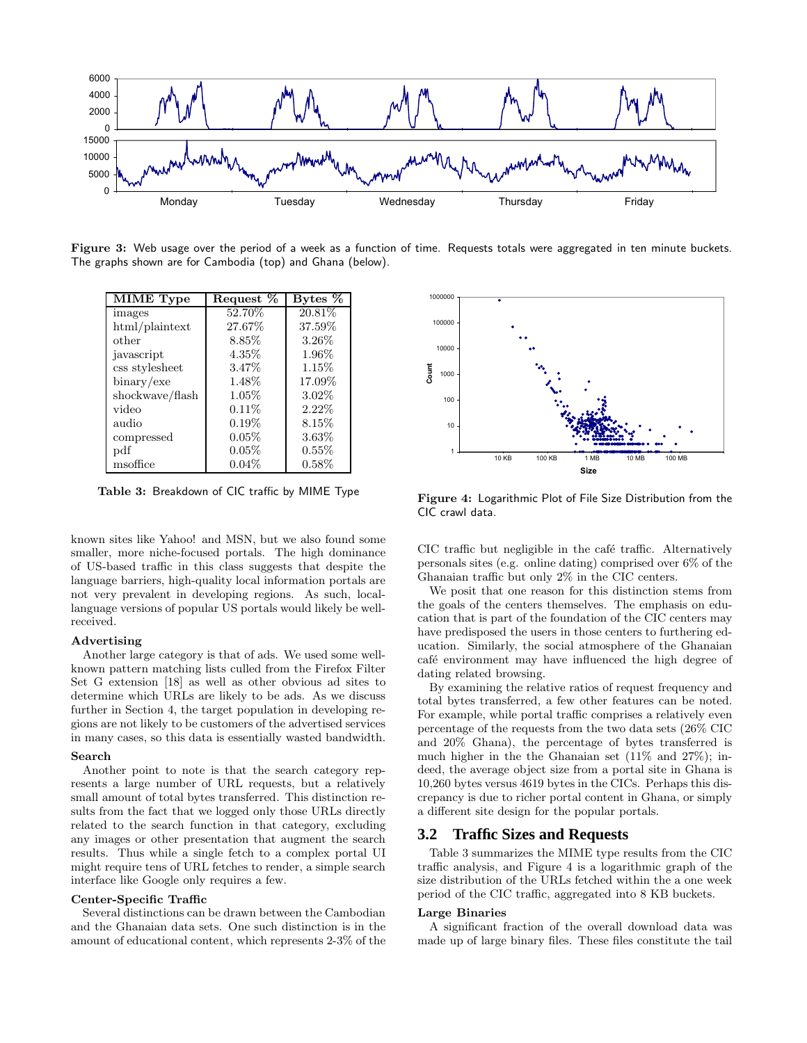

Figure 3: Web usage over the period of a week as a function of time. Requests totals were aggregated in ten minute buckets. The graphs shown are for Cambodia (top) and Ghana (below).

| MIME Type       | Request % | Bytes $%$ |
|-----------------|-----------|-----------|
| images          | 52.70%    | 20.81\%   |
| html/plaintext  | 27.67%    | 37.59%    |
| other           | 8.85%     | 3.26\%    |
| javascript      | $4.35\%$  | 1.96%     |
| css stylesheet  | 3.47%     | 1.15%     |
| $binary$ /exe   | $1.48\%$  | 17.09%    |
| shockwave/flash | 1.05%     | $3.02\%$  |
| video           | $0.11\%$  | $2.22\%$  |
| audio           | $0.19\%$  | 8.15%     |
| compressed      | $0.05\%$  | $3.63\%$  |
| pdf             | $0.05\%$  | $0.55\%$  |
| msoffice        | $0.04\%$  | $0.58\%$  |

Table 3: Breakdown of CIC traffic by MIME Type

known sites like Yahoo! and MSN, but we also found some smaller, more niche-focused portals. The high dominance of US-based traffic in this class suggests that despite the language barriers, high-quality local information portals are not very prevalent in developing regions. As such, locallanguage versions of popular US portals would likely be wellreceived.

#### Advertising

Another large category is that of ads. We used some wellknown pattern matching lists culled from the Firefox Filter Set G extension [18] as well as other obvious ad sites to determine which URLs are likely to be ads. As we discuss further in Section 4, the target population in developing regions are not likely to be customers of the advertised services in many cases, so this data is essentially wasted bandwidth.

#### Search

Another point to note is that the search category represents a large number of URL requests, but a relatively small amount of total bytes transferred. This distinction results from the fact that we logged only those URLs directly related to the search function in that category, excluding any images or other presentation that augment the search results. Thus while a single fetch to a complex portal UI might require tens of URL fetches to render, a simple search interface like Google only requires a few.

### Center-Specific Traffic

Several distinctions can be drawn between the Cambodian and the Ghanaian data sets. One such distinction is in the amount of educational content, which represents 2-3% of the



Figure 4: Logarithmic Plot of File Size Distribution from the CIC crawl data.

CIC traffic but negligible in the café traffic. Alternatively personals sites (e.g. online dating) comprised over 6% of the Ghanaian traffic but only 2% in the CIC centers.

We posit that one reason for this distinction stems from the goals of the centers themselves. The emphasis on education that is part of the foundation of the CIC centers may have predisposed the users in those centers to furthering education. Similarly, the social atmosphere of the Ghanaian café environment may have influenced the high degree of dating related browsing.

By examining the relative ratios of request frequency and total bytes transferred, a few other features can be noted. For example, while portal traffic comprises a relatively even percentage of the requests from the two data sets (26% CIC and 20% Ghana), the percentage of bytes transferred is much higher in the the Ghanaian set (11% and 27%); indeed, the average object size from a portal site in Ghana is 10,260 bytes versus 4619 bytes in the CICs. Perhaps this discrepancy is due to richer portal content in Ghana, or simply a different site design for the popular portals.

### **3.2 Traffic Sizes and Requests**

Table 3 summarizes the MIME type results from the CIC traffic analysis, and Figure 4 is a logarithmic graph of the size distribution of the URLs fetched within the a one week period of the CIC traffic, aggregated into 8 KB buckets.

#### Large Binaries

A significant fraction of the overall download data was made up of large binary files. These files constitute the tail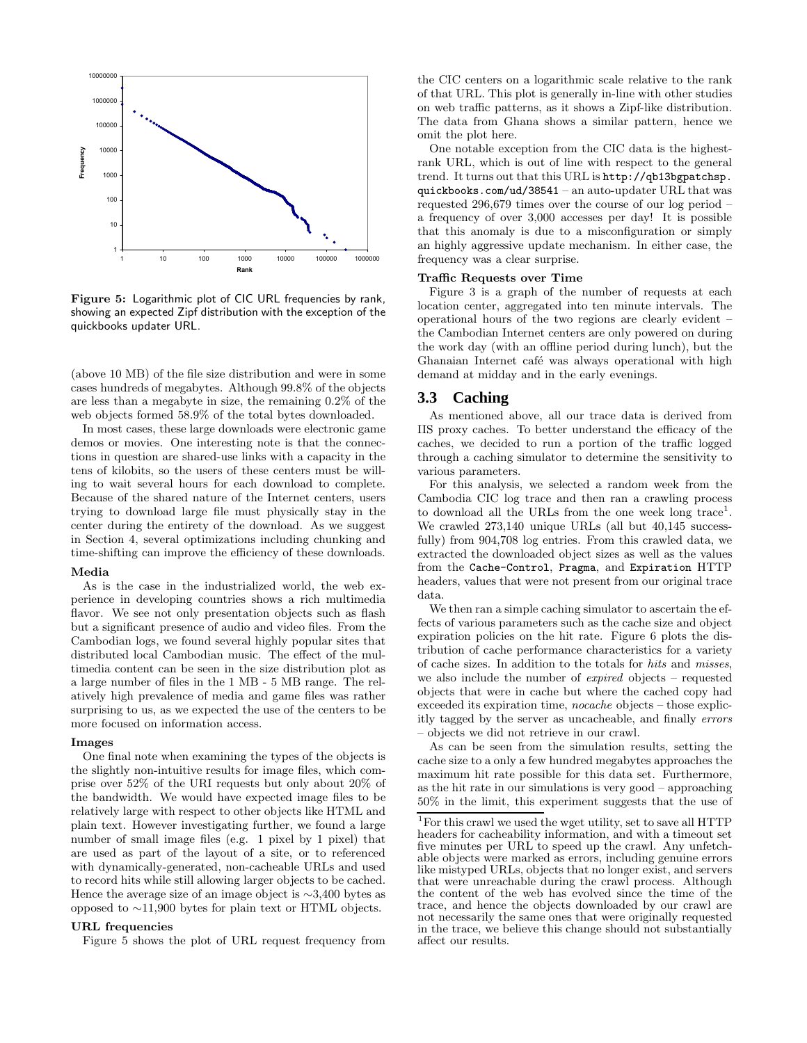

Figure 5: Logarithmic plot of CIC URL frequencies by rank, showing an expected Zipf distribution with the exception of the quickbooks updater URL.

(above 10 MB) of the file size distribution and were in some cases hundreds of megabytes. Although 99.8% of the objects are less than a megabyte in size, the remaining 0.2% of the web objects formed 58.9% of the total bytes downloaded.

In most cases, these large downloads were electronic game demos or movies. One interesting note is that the connections in question are shared-use links with a capacity in the tens of kilobits, so the users of these centers must be willing to wait several hours for each download to complete. Because of the shared nature of the Internet centers, users trying to download large file must physically stay in the center during the entirety of the download. As we suggest in Section 4, several optimizations including chunking and time-shifting can improve the efficiency of these downloads.

#### Media

As is the case in the industrialized world, the web experience in developing countries shows a rich multimedia flavor. We see not only presentation objects such as flash but a significant presence of audio and video files. From the Cambodian logs, we found several highly popular sites that distributed local Cambodian music. The effect of the multimedia content can be seen in the size distribution plot as a large number of files in the 1 MB - 5 MB range. The relatively high prevalence of media and game files was rather surprising to us, as we expected the use of the centers to be more focused on information access.

#### Images

One final note when examining the types of the objects is the slightly non-intuitive results for image files, which comprise over 52% of the URI requests but only about 20% of the bandwidth. We would have expected image files to be relatively large with respect to other objects like HTML and plain text. However investigating further, we found a large number of small image files (e.g. 1 pixel by 1 pixel) that are used as part of the layout of a site, or to referenced with dynamically-generated, non-cacheable URLs and used to record hits while still allowing larger objects to be cached. Hence the average size of an image object is ∼3,400 bytes as opposed to ∼11,900 bytes for plain text or HTML objects.

#### URL frequencies

Figure 5 shows the plot of URL request frequency from

the CIC centers on a logarithmic scale relative to the rank of that URL. This plot is generally in-line with other studies on web traffic patterns, as it shows a Zipf-like distribution. The data from Ghana shows a similar pattern, hence we omit the plot here.

One notable exception from the CIC data is the highestrank URL, which is out of line with respect to the general trend. It turns out that this URL is http://qb13bgpatchsp. quickbooks.com/ud/38541 – an auto-updater URL that was requested 296,679 times over the course of our log period – a frequency of over 3,000 accesses per day! It is possible that this anomaly is due to a misconfiguration or simply an highly aggressive update mechanism. In either case, the frequency was a clear surprise.

#### Traffic Requests over Time

Figure 3 is a graph of the number of requests at each location center, aggregated into ten minute intervals. The operational hours of the two regions are clearly evident – the Cambodian Internet centers are only powered on during the work day (with an offline period during lunch), but the Ghanaian Internet café was always operational with high demand at midday and in the early evenings.

### **3.3 Caching**

As mentioned above, all our trace data is derived from IIS proxy caches. To better understand the efficacy of the caches, we decided to run a portion of the traffic logged through a caching simulator to determine the sensitivity to various parameters.

For this analysis, we selected a random week from the Cambodia CIC log trace and then ran a crawling process to download all the URLs from the one week long trace<sup>1</sup>. We crawled 273,140 unique URLs (all but 40,145 successfully) from 904,708 log entries. From this crawled data, we extracted the downloaded object sizes as well as the values from the Cache-Control, Pragma, and Expiration HTTP headers, values that were not present from our original trace data.

We then ran a simple caching simulator to ascertain the effects of various parameters such as the cache size and object expiration policies on the hit rate. Figure 6 plots the distribution of cache performance characteristics for a variety of cache sizes. In addition to the totals for hits and misses, we also include the number of expired objects – requested objects that were in cache but where the cached copy had exceeded its expiration time, nocache objects – those explicitly tagged by the server as uncacheable, and finally errors – objects we did not retrieve in our crawl.

As can be seen from the simulation results, setting the cache size to a only a few hundred megabytes approaches the maximum hit rate possible for this data set. Furthermore, as the hit rate in our simulations is very good – approaching 50% in the limit, this experiment suggests that the use of

<sup>&</sup>lt;sup>1</sup>For this crawl we used the wget utility, set to save all HTTP headers for cacheability information, and with a timeout set five minutes per URL to speed up the crawl. Any unfetchable objects were marked as errors, including genuine errors like mistyped URLs, objects that no longer exist, and servers that were unreachable during the crawl process. Although the content of the web has evolved since the time of the trace, and hence the objects downloaded by our crawl are not necessarily the same ones that were originally requested in the trace, we believe this change should not substantially affect our results.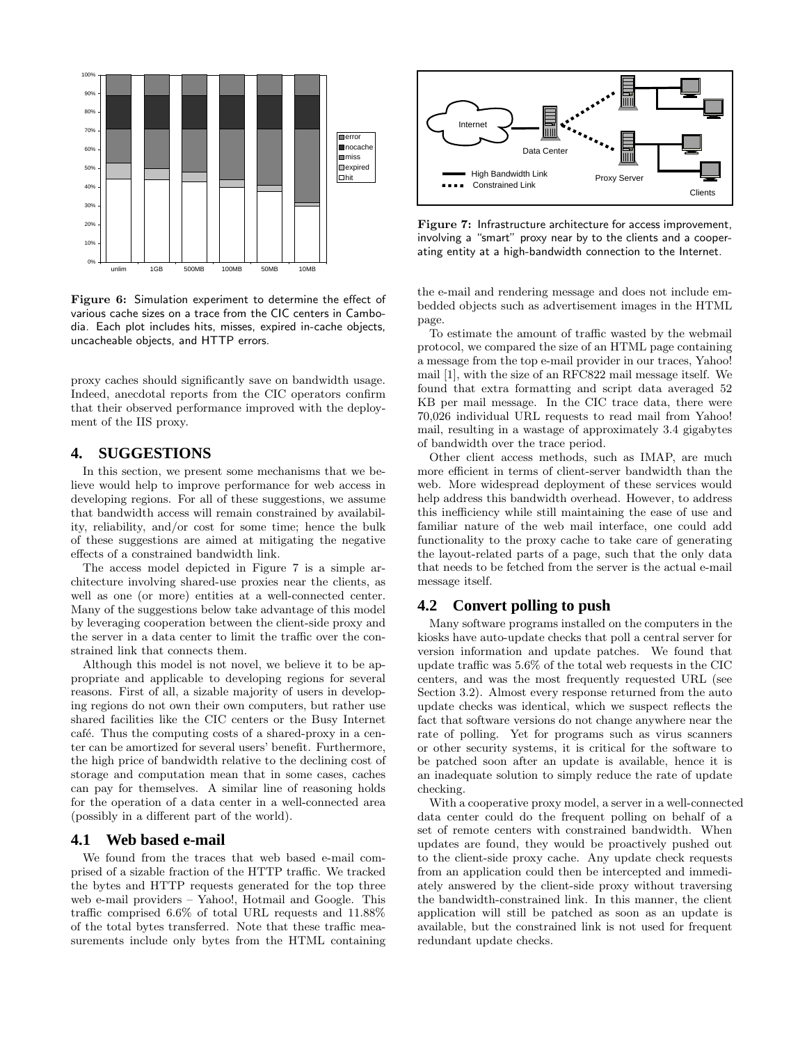

Figure 6: Simulation experiment to determine the effect of various cache sizes on a trace from the CIC centers in Cambodia. Each plot includes hits, misses, expired in-cache objects, uncacheable objects, and HTTP errors.

proxy caches should significantly save on bandwidth usage. Indeed, anecdotal reports from the CIC operators confirm that their observed performance improved with the deployment of the IIS proxy.

# **4. SUGGESTIONS**

In this section, we present some mechanisms that we believe would help to improve performance for web access in developing regions. For all of these suggestions, we assume that bandwidth access will remain constrained by availability, reliability, and/or cost for some time; hence the bulk of these suggestions are aimed at mitigating the negative effects of a constrained bandwidth link.

The access model depicted in Figure 7 is a simple architecture involving shared-use proxies near the clients, as well as one (or more) entities at a well-connected center. Many of the suggestions below take advantage of this model by leveraging cooperation between the client-side proxy and the server in a data center to limit the traffic over the constrained link that connects them.

Although this model is not novel, we believe it to be appropriate and applicable to developing regions for several reasons. First of all, a sizable majority of users in developing regions do not own their own computers, but rather use shared facilities like the CIC centers or the Busy Internet café. Thus the computing costs of a shared-proxy in a center can be amortized for several users' benefit. Furthermore, the high price of bandwidth relative to the declining cost of storage and computation mean that in some cases, caches can pay for themselves. A similar line of reasoning holds for the operation of a data center in a well-connected area (possibly in a different part of the world).

### **4.1 Web based e-mail**

We found from the traces that web based e-mail comprised of a sizable fraction of the HTTP traffic. We tracked the bytes and HTTP requests generated for the top three web e-mail providers – Yahoo!, Hotmail and Google. This traffic comprised 6.6% of total URL requests and 11.88% of the total bytes transferred. Note that these traffic measurements include only bytes from the HTML containing



Figure 7: Infrastructure architecture for access improvement, involving a "smart" proxy near by to the clients and a cooperating entity at a high-bandwidth connection to the Internet.

the e-mail and rendering message and does not include embedded objects such as advertisement images in the HTML page.

To estimate the amount of traffic wasted by the webmail protocol, we compared the size of an HTML page containing a message from the top e-mail provider in our traces, Yahoo! mail [1], with the size of an RFC822 mail message itself. We found that extra formatting and script data averaged 52 KB per mail message. In the CIC trace data, there were 70,026 individual URL requests to read mail from Yahoo! mail, resulting in a wastage of approximately 3.4 gigabytes of bandwidth over the trace period.

Other client access methods, such as IMAP, are much more efficient in terms of client-server bandwidth than the web. More widespread deployment of these services would help address this bandwidth overhead. However, to address this inefficiency while still maintaining the ease of use and familiar nature of the web mail interface, one could add functionality to the proxy cache to take care of generating the layout-related parts of a page, such that the only data that needs to be fetched from the server is the actual e-mail message itself.

### **4.2 Convert polling to push**

Many software programs installed on the computers in the kiosks have auto-update checks that poll a central server for version information and update patches. We found that update traffic was 5.6% of the total web requests in the CIC centers, and was the most frequently requested URL (see Section 3.2). Almost every response returned from the auto update checks was identical, which we suspect reflects the fact that software versions do not change anywhere near the rate of polling. Yet for programs such as virus scanners or other security systems, it is critical for the software to be patched soon after an update is available, hence it is an inadequate solution to simply reduce the rate of update checking.

With a cooperative proxy model, a server in a well-connected data center could do the frequent polling on behalf of a set of remote centers with constrained bandwidth. When updates are found, they would be proactively pushed out to the client-side proxy cache. Any update check requests from an application could then be intercepted and immediately answered by the client-side proxy without traversing the bandwidth-constrained link. In this manner, the client application will still be patched as soon as an update is available, but the constrained link is not used for frequent redundant update checks.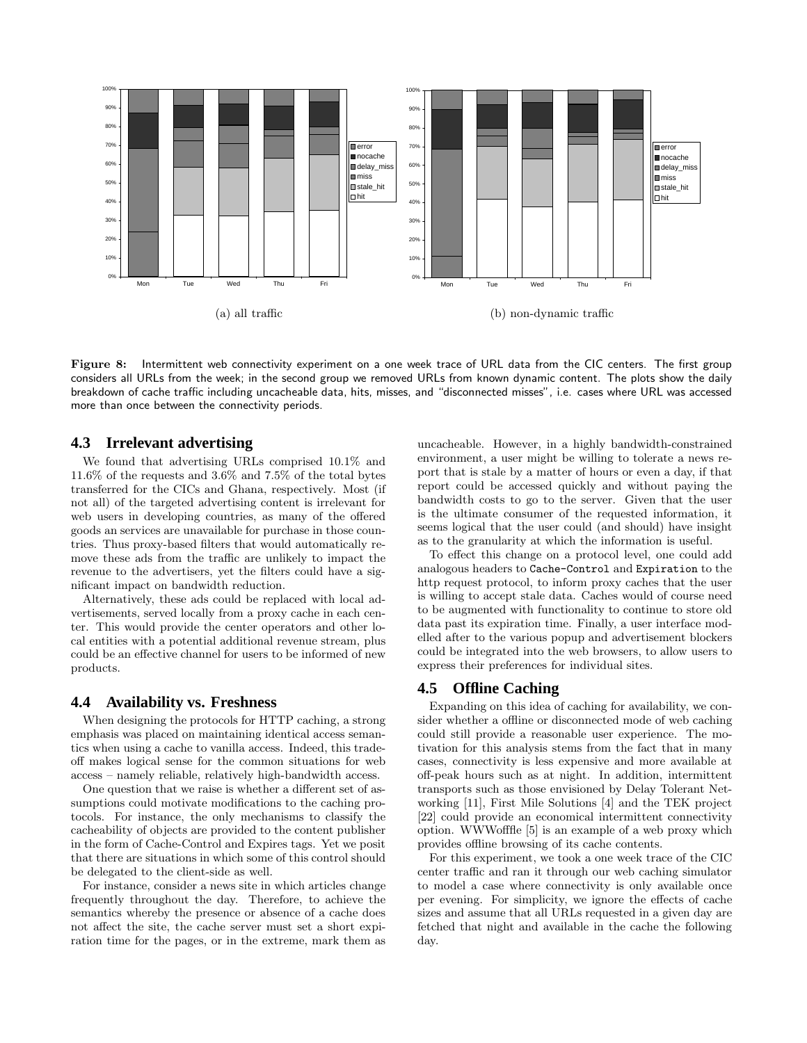

Figure 8: Intermittent web connectivity experiment on a one week trace of URL data from the CIC centers. The first group considers all URLs from the week; in the second group we removed URLs from known dynamic content. The plots show the daily breakdown of cache traffic including uncacheable data, hits, misses, and "disconnected misses", i.e. cases where URL was accessed more than once between the connectivity periods.

### **4.3 Irrelevant advertising**

We found that advertising URLs comprised 10.1% and 11.6% of the requests and 3.6% and 7.5% of the total bytes transferred for the CICs and Ghana, respectively. Most (if not all) of the targeted advertising content is irrelevant for web users in developing countries, as many of the offered goods an services are unavailable for purchase in those countries. Thus proxy-based filters that would automatically remove these ads from the traffic are unlikely to impact the revenue to the advertisers, yet the filters could have a significant impact on bandwidth reduction.

Alternatively, these ads could be replaced with local advertisements, served locally from a proxy cache in each center. This would provide the center operators and other local entities with a potential additional revenue stream, plus could be an effective channel for users to be informed of new products.

### **4.4 Availability vs. Freshness**

When designing the protocols for HTTP caching, a strong emphasis was placed on maintaining identical access semantics when using a cache to vanilla access. Indeed, this tradeoff makes logical sense for the common situations for web access – namely reliable, relatively high-bandwidth access.

One question that we raise is whether a different set of assumptions could motivate modifications to the caching protocols. For instance, the only mechanisms to classify the cacheability of objects are provided to the content publisher in the form of Cache-Control and Expires tags. Yet we posit that there are situations in which some of this control should be delegated to the client-side as well.

For instance, consider a news site in which articles change frequently throughout the day. Therefore, to achieve the semantics whereby the presence or absence of a cache does not affect the site, the cache server must set a short expiration time for the pages, or in the extreme, mark them as uncacheable. However, in a highly bandwidth-constrained environment, a user might be willing to tolerate a news report that is stale by a matter of hours or even a day, if that report could be accessed quickly and without paying the bandwidth costs to go to the server. Given that the user is the ultimate consumer of the requested information, it seems logical that the user could (and should) have insight as to the granularity at which the information is useful.

To effect this change on a protocol level, one could add analogous headers to Cache-Control and Expiration to the http request protocol, to inform proxy caches that the user is willing to accept stale data. Caches would of course need to be augmented with functionality to continue to store old data past its expiration time. Finally, a user interface modelled after to the various popup and advertisement blockers could be integrated into the web browsers, to allow users to express their preferences for individual sites.

### **4.5 Offline Caching**

Expanding on this idea of caching for availability, we consider whether a offline or disconnected mode of web caching could still provide a reasonable user experience. The motivation for this analysis stems from the fact that in many cases, connectivity is less expensive and more available at off-peak hours such as at night. In addition, intermittent transports such as those envisioned by Delay Tolerant Networking [11], First Mile Solutions [4] and the TEK project [22] could provide an economical intermittent connectivity option. WWWofffle [5] is an example of a web proxy which provides offline browsing of its cache contents.

For this experiment, we took a one week trace of the CIC center traffic and ran it through our web caching simulator to model a case where connectivity is only available once per evening. For simplicity, we ignore the effects of cache sizes and assume that all URLs requested in a given day are fetched that night and available in the cache the following day.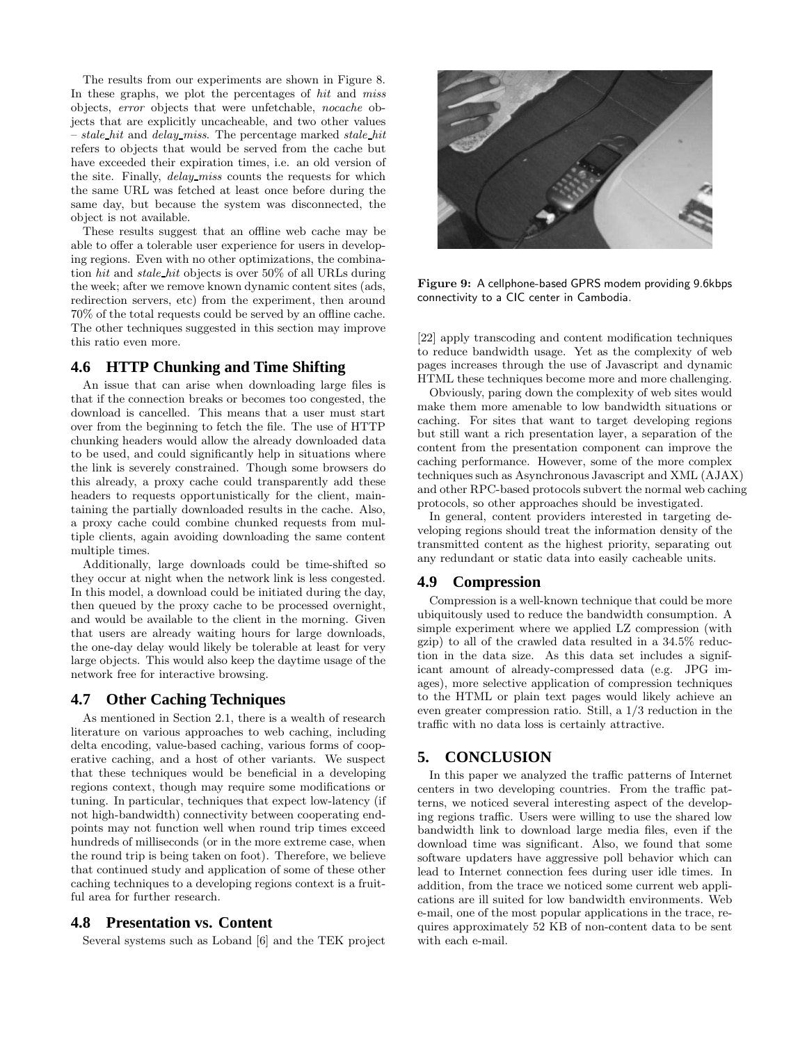The results from our experiments are shown in Figure 8. In these graphs, we plot the percentages of hit and miss objects, error objects that were unfetchable, nocache objects that are explicitly uncacheable, and two other values  $- state\_hit$  and delay miss. The percentage marked stale hit refers to objects that would be served from the cache but have exceeded their expiration times, i.e. an old version of the site. Finally, delay miss counts the requests for which the same URL was fetched at least once before during the same day, but because the system was disconnected, the object is not available.

These results suggest that an offline web cache may be able to offer a tolerable user experience for users in developing regions. Even with no other optimizations, the combination hit and stale hit objects is over 50% of all URLs during the week; after we remove known dynamic content sites (ads, redirection servers, etc) from the experiment, then around 70% of the total requests could be served by an offline cache. The other techniques suggested in this section may improve this ratio even more.

# **4.6 HTTP Chunking and Time Shifting**

An issue that can arise when downloading large files is that if the connection breaks or becomes too congested, the download is cancelled. This means that a user must start over from the beginning to fetch the file. The use of HTTP chunking headers would allow the already downloaded data to be used, and could significantly help in situations where the link is severely constrained. Though some browsers do this already, a proxy cache could transparently add these headers to requests opportunistically for the client, maintaining the partially downloaded results in the cache. Also, a proxy cache could combine chunked requests from multiple clients, again avoiding downloading the same content multiple times.

Additionally, large downloads could be time-shifted so they occur at night when the network link is less congested. In this model, a download could be initiated during the day, then queued by the proxy cache to be processed overnight, and would be available to the client in the morning. Given that users are already waiting hours for large downloads, the one-day delay would likely be tolerable at least for very large objects. This would also keep the daytime usage of the network free for interactive browsing.

### **4.7 Other Caching Techniques**

As mentioned in Section 2.1, there is a wealth of research literature on various approaches to web caching, including delta encoding, value-based caching, various forms of cooperative caching, and a host of other variants. We suspect that these techniques would be beneficial in a developing regions context, though may require some modifications or tuning. In particular, techniques that expect low-latency (if not high-bandwidth) connectivity between cooperating endpoints may not function well when round trip times exceed hundreds of milliseconds (or in the more extreme case, when the round trip is being taken on foot). Therefore, we believe that continued study and application of some of these other caching techniques to a developing regions context is a fruitful area for further research.

# **4.8 Presentation vs. Content**

Several systems such as Loband [6] and the TEK project



Figure 9: A cellphone-based GPRS modem providing 9.6kbps connectivity to a CIC center in Cambodia.

[22] apply transcoding and content modification techniques to reduce bandwidth usage. Yet as the complexity of web pages increases through the use of Javascript and dynamic HTML these techniques become more and more challenging.

Obviously, paring down the complexity of web sites would make them more amenable to low bandwidth situations or caching. For sites that want to target developing regions but still want a rich presentation layer, a separation of the content from the presentation component can improve the caching performance. However, some of the more complex techniques such as Asynchronous Javascript and XML (AJAX) and other RPC-based protocols subvert the normal web caching protocols, so other approaches should be investigated.

In general, content providers interested in targeting developing regions should treat the information density of the transmitted content as the highest priority, separating out any redundant or static data into easily cacheable units.

# **4.9 Compression**

Compression is a well-known technique that could be more ubiquitously used to reduce the bandwidth consumption. A simple experiment where we applied LZ compression (with gzip) to all of the crawled data resulted in a 34.5% reduction in the data size. As this data set includes a significant amount of already-compressed data (e.g. JPG images), more selective application of compression techniques to the HTML or plain text pages would likely achieve an even greater compression ratio. Still, a 1/3 reduction in the traffic with no data loss is certainly attractive.

# **5. CONCLUSION**

In this paper we analyzed the traffic patterns of Internet centers in two developing countries. From the traffic patterns, we noticed several interesting aspect of the developing regions traffic. Users were willing to use the shared low bandwidth link to download large media files, even if the download time was significant. Also, we found that some software updaters have aggressive poll behavior which can lead to Internet connection fees during user idle times. In addition, from the trace we noticed some current web applications are ill suited for low bandwidth environments. Web e-mail, one of the most popular applications in the trace, requires approximately 52 KB of non-content data to be sent with each e-mail.